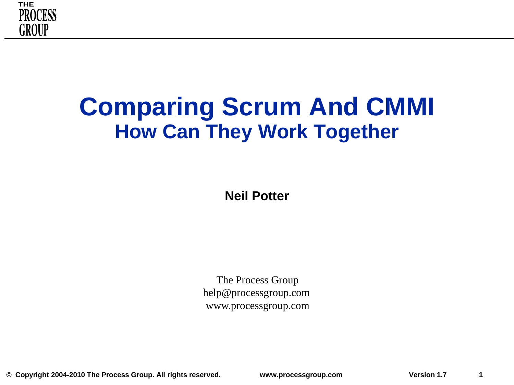

### **Comparing Scrum And CMMI How Can They Work Together**

**Neil Potter**

The Process Group help@processgroup.com www.processgroup.com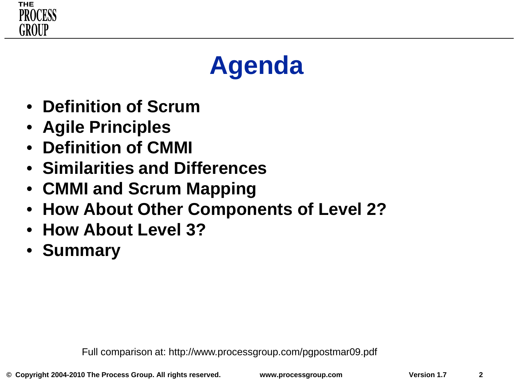

# **Agenda**

- **Definition of Scrum**
- **Agile Principles**
- **Definition of CMMI**
- **Similarities and Differences**
- **CMMI and Scrum Mapping**
- **How About Other Components of Level 2?**
- **How About Level 3?**
- **Summary**

Full comparison at: http://www.processgroup.com/pgpostmar09.pdf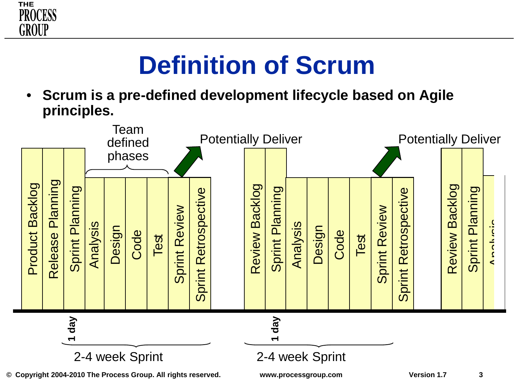

# **Definition of Scrum**

• **Scrum is a pre-defined development lifecycle based on Agile principles.** 

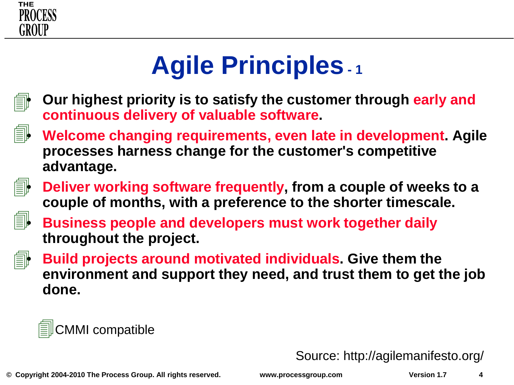

# **Agile Principles- <sup>1</sup>**



即

- **Our highest priority is to satisfy the customer through early and continuous delivery of valuable software.**
- **Welcome changing requirements, even late in development. Agile processes harness change for the customer's competitive advantage.**



• **Deliver working software frequently, from a couple of weeks to a couple of months, with a preference to the shorter timescale.**



• **Business people and developers must work together daily throughout the project.**



• **Build projects around motivated individuals. Give them the environment and support they need, and trust them to get the job done.**

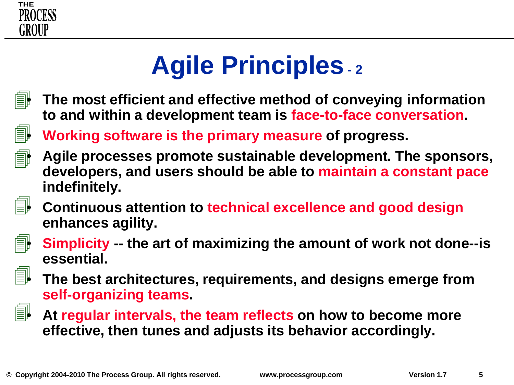

# **Agile Principles- <sup>2</sup>**



• **The most efficient and effective method of conveying information to and within a development team is face-to-face conversation.**

• **Working software is the primary measure of progress.**



1

• **Agile processes promote sustainable development. The sponsors, developers, and users should be able to maintain a constant pace indefinitely.**



• **Continuous attention to technical excellence and good design enhances agility.**



• **Simplicity -- the art of maximizing the amount of work not done--is essential.**



• **The best architectures, requirements, and designs emerge from self-organizing teams.**



• **At regular intervals, the team reflects on how to become more effective, then tunes and adjusts its behavior accordingly.**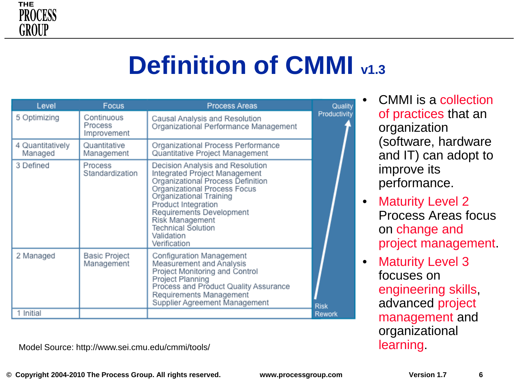

# **Definition of CMMI v1.3**

| Level                       | Focus                                | <b>Process Areas</b>                                                                                                                                                                                                                                                                               | Quality      |
|-----------------------------|--------------------------------------|----------------------------------------------------------------------------------------------------------------------------------------------------------------------------------------------------------------------------------------------------------------------------------------------------|--------------|
| 5 Optimizing                | Continuous<br>Process<br>Improvement | Causal Analysis and Resolution<br>Organizational Performance Management                                                                                                                                                                                                                            | Productivity |
| 4 Quantitatively<br>Managed | Quantitative<br>Management           | Organizational Process Performance<br>Quantitative Project Management                                                                                                                                                                                                                              |              |
| 3 Defined                   | Process<br>Standardization           | Decision Analysis and Resolution<br>Integrated Project Management<br>Organizational Process Definition<br>Organizational Process Focus<br>Organizational Training<br>Product Integration<br>Requirements Development<br>Risk Management<br><b>Technical Solution</b><br>Validation<br>Verification |              |
| 2 Managed                   | <b>Basic Project</b><br>Management   | Configuration Management<br>Measurement and Analysis<br>Project Monitoring and Control<br>Project Planning<br>Process and Product Quality Assurance<br>Requirements Management<br>Supplier Agreement Management                                                                                    | <b>Risk</b>  |
| 1 Initial                   |                                      |                                                                                                                                                                                                                                                                                                    | Rework       |

Model Source: http://www.sei.cmu.edu/cmmi/tools/ learning.

• CMMI is a collection of practices that an organization (software, hardware and IT) can adopt to improve its performance.

- Maturity Level 2 Process Areas focus on change and project management.
- Maturity Level 3 focuses on engineering skills, advanced project management and organizational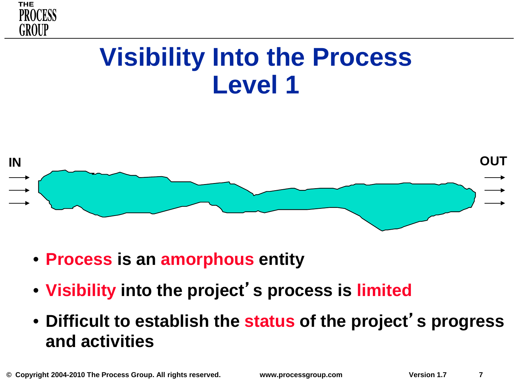

### **Visibility Into the Process Level 1**



- **Process is an amorphous entity**
- **Visibility into the project**'**s process is limited**
- **Difficult to establish the status of the project**'**s progress and activities**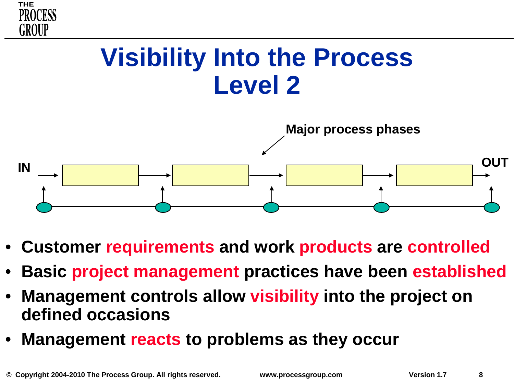



- **Customer requirements and work products are controlled**
- **Basic project management practices have been established**
- **Management controls allow visibility into the project on defined occasions**
- **Management reacts to problems as they occur**

**THE**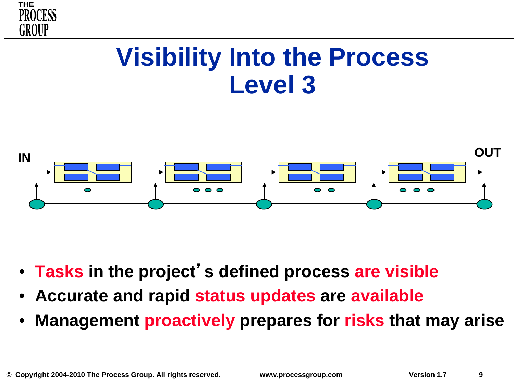



- **Tasks in the project**'**s defined process are visible**
- **Accurate and rapid status updates are available**
- **Management proactively prepares for risks that may arise**

**THE** 

GROUP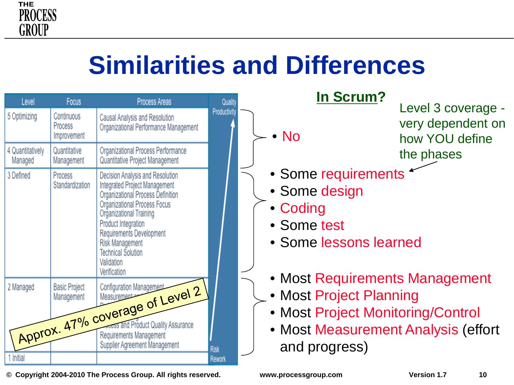

# **Similarities and Differences**

| Level                       | <b>Focus</b>                         | Process Areas                                                                                                                                                                                                                                                                                      | Quality      | In Scrum?                                                                                                                                              |
|-----------------------------|--------------------------------------|----------------------------------------------------------------------------------------------------------------------------------------------------------------------------------------------------------------------------------------------------------------------------------------------------|--------------|--------------------------------------------------------------------------------------------------------------------------------------------------------|
| 5 Optimizing                | Continuous<br>Process<br>Improvement | Causal Analysis and Resolution<br>Organizational Performance Management                                                                                                                                                                                                                            | Productivity | Level 3 coverage -<br>very dependent on<br>$\bullet$ No<br>how YOU define                                                                              |
| 4 Quantitatively<br>Managed | Quantitative<br>Management           | Organizational Process Performance<br>Quantitative Project Management                                                                                                                                                                                                                              |              | the phases                                                                                                                                             |
| 3 Defined                   | Process<br>Standardization           | Decision Analysis and Resolution<br>Integrated Project Management<br>Organizational Process Definition<br>Organizational Process Focus<br>Organizational Training<br>Product Integration<br>Requirements Development<br>Risk Management<br><b>Technical Solution</b><br>Validation<br>Verification |              | • Some requirements<br>• Some design<br>• Coding<br>• Some test<br>• Some lessons learned                                                              |
| 2 Managed                   |                                      | Approx. 47% coverage of Level 2<br>Supplier Agreement Management                                                                                                                                                                                                                                   | <b>Risk</b>  | • Most Requirements Management<br>• Most Project Planning<br>• Most Project Monitoring/Control<br>• Most Measurement Analysis (effort<br>and progress) |
| 1 Initial                   |                                      |                                                                                                                                                                                                                                                                                                    | Rework       |                                                                                                                                                        |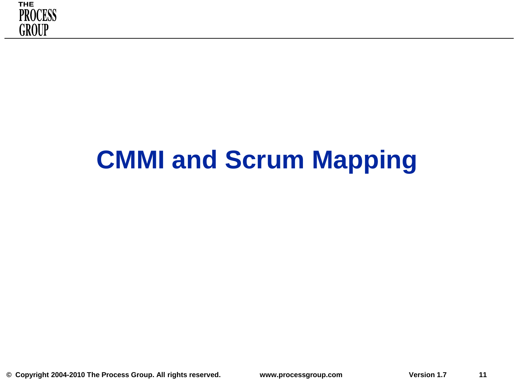

# **CMMI and Scrum Mapping**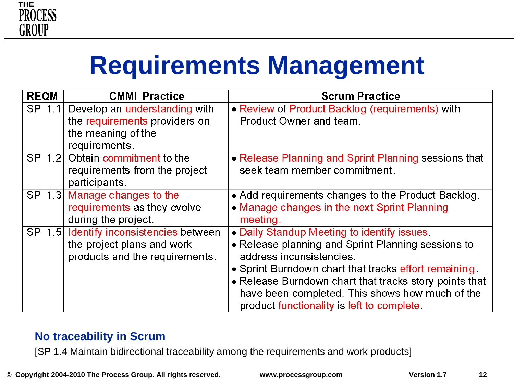

# **Requirements Management**

| <b>REQM</b> | <b>CMMI Practice</b>                                                                                         | <b>Scrum Practice</b>                                                                                                                                                                                                                                                                                                                            |
|-------------|--------------------------------------------------------------------------------------------------------------|--------------------------------------------------------------------------------------------------------------------------------------------------------------------------------------------------------------------------------------------------------------------------------------------------------------------------------------------------|
|             | SP 1.1 Develop an understanding with<br>the requirements providers on<br>the meaning of the<br>requirements. | • Review of Product Backlog (requirements) with<br>Product Owner and team.                                                                                                                                                                                                                                                                       |
|             | SP 1.2 Obtain commitment to the<br>requirements from the project<br>participants.                            | • Release Planning and Sprint Planning sessions that<br>seek team member commitment.                                                                                                                                                                                                                                                             |
|             | SP 1.3 Manage changes to the<br>requirements as they evolve<br>during the project.                           | • Add requirements changes to the Product Backlog.<br>• Manage changes in the next Sprint Planning<br>meeting.                                                                                                                                                                                                                                   |
|             | SP 1.5 Identify inconsistencies between<br>the project plans and work<br>products and the requirements.      | • Daily Standup Meeting to identify issues.<br>• Release planning and Sprint Planning sessions to<br>address inconsistencies.<br>• Sprint Burndown chart that tracks effort remaining<br>• Release Burndown chart that tracks story points that<br>have been completed. This shows how much of the<br>product functionality is left to complete. |

#### **No traceability in Scrum**

[SP 1.4 Maintain bidirectional traceability among the requirements and work products]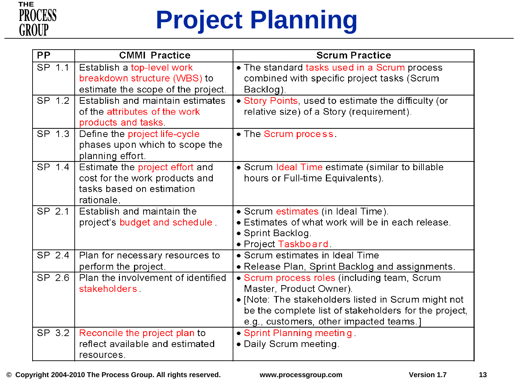

# **Project Planning**

| <b>PP</b> | <b>CMMI Practice</b>                                                                                         | <b>Scrum Practice</b>                                                                                                                                                                                                              |
|-----------|--------------------------------------------------------------------------------------------------------------|------------------------------------------------------------------------------------------------------------------------------------------------------------------------------------------------------------------------------------|
| SP 1.1    | Establish a top-level work<br>breakdown structure (WBS) to<br>estimate the scope of the project.             | . The standard tasks used in a Scrum process<br>combined with specific project tasks (Scrum<br>Backlog).                                                                                                                           |
| SP 1.2    | Establish and maintain estimates<br>of the attributes of the work<br>products and tasks.                     | · Story Points, used to estimate the difficulty (or<br>relative size) of a Story (requirement).                                                                                                                                    |
| SP 1.3    | Define the project life-cycle<br>phases upon which to scope the<br>planning effort.                          | • The Scrum process.                                                                                                                                                                                                               |
| SP 1.4    | Estimate the project effort and<br>cost for the work products and<br>tasks based on estimation<br>rationale. | • Scrum Ideal Time estimate (similar to billable<br>hours or Full-time Equivalents).                                                                                                                                               |
| SP 2.1    | Establish and maintain the<br>project's budget and schedule                                                  | • Scrum estimates (in Ideal Time).<br>• Estimates of what work will be in each release.<br>• Sprint Backlog.<br>• Project Taskboard.                                                                                               |
| SP 2.4    | Plan for necessary resources to<br>perform the project.                                                      | · Scrum estimates in Ideal Time<br>• Release Plan, Sprint Backlog and assignments.                                                                                                                                                 |
| SP 2.6    | Plan the involvement of identified<br>stakeholders                                                           | · Scrum process roles (including team, Scrum<br>Master, Product Owner).<br>• [Note: The stakeholders listed in Scrum might not<br>be the complete list of stakeholders for the project,<br>e.g., customers, other impacted teams.] |
| SP 3.2    | Reconcile the project plan to<br>reflect available and estimated<br>resources.                               | • Sprint Planning meeting<br>· Daily Scrum meeting.                                                                                                                                                                                |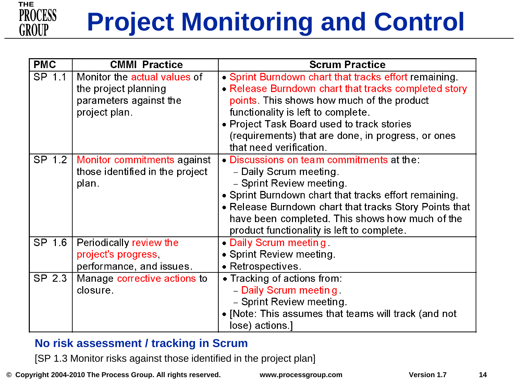

# **Project Monitoring and Control**

| <b>PMC</b> | <b>CMMI Practice</b>                 | <b>Scrum Practice</b>                                  |
|------------|--------------------------------------|--------------------------------------------------------|
| SP 1.1     | Monitor the actual values of         | • Sprint Burndown chart that tracks effort remaining.  |
|            | the project planning                 | • Release Burndown chart that tracks completed story   |
|            | parameters against the               | points. This shows how much of the product             |
|            | project plan.                        | functionality is left to complete.                     |
|            |                                      | • Project Task Board used to track stories             |
|            |                                      | (requirements) that are done, in progress, or ones     |
|            |                                      | that need verification.                                |
|            | SP 1.2   Monitor commitments against | • Discussions on team commitments at the:              |
|            | those identified in the project      | - Daily Scrum meeting.                                 |
|            | plan.                                | - Sprint Review meeting.                               |
|            |                                      | • Sprint Burndown chart that tracks effort remaining.  |
|            |                                      | • Release Burndown chart that tracks Story Points that |
|            |                                      | have been completed. This shows how much of the        |
|            |                                      | product functionality is left to complete.             |
| SP 1.6     | Periodically review the              | • Daily Scrum meeting.                                 |
|            | project's progress,                  | • Sprint Review meeting.                               |
|            | performance, and issues.             | • Retrospectives.                                      |
| SP 2.3     | Manage corrective actions to         | • Tracking of actions from:                            |
|            | closure.                             | - Daily Scrum meeting.                                 |
|            |                                      | - Sprint Review meeting.                               |
|            |                                      | • [Note: This assumes that teams will track (and not   |
|            |                                      | lose) actions.]                                        |

#### **No risk assessment / tracking in Scrum**

[SP 1.3 Monitor risks against those identified in the project plan]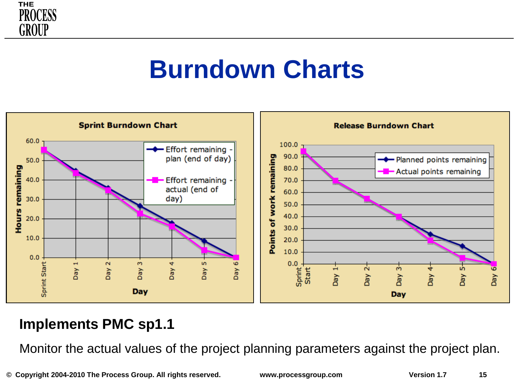

### **Burndown Charts**



#### **Implements PMC sp1.1**

Monitor the actual values of the project planning parameters against the project plan.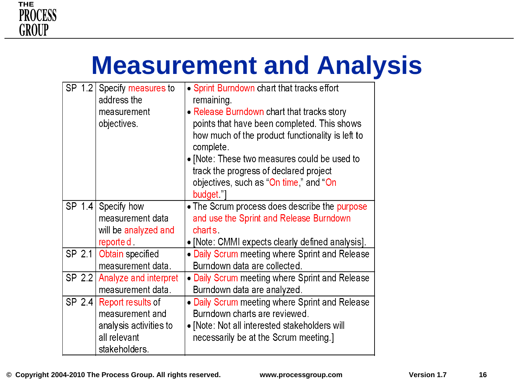

# **Measurement and Analysis**

| SP 1.2<br>Specify measures to<br>address the<br>measurement<br>objectives. | • Sprint Burndown chart that tracks effort<br>remaining.<br>• Release Burndown chart that tracks story<br>points that have been completed. This shows<br>how much of the product functionality is left to<br>complete.<br>• [Note: These two measures could be used to<br>track the progress of declared project<br>objectives, such as "On time," and "On<br>budget." |
|----------------------------------------------------------------------------|------------------------------------------------------------------------------------------------------------------------------------------------------------------------------------------------------------------------------------------------------------------------------------------------------------------------------------------------------------------------|
| SP 1.4<br>Specify how<br>measurement data<br>will be analyzed and          | • The Scrum process does describe the purpose<br>and use the Sprint and Release Burndown<br>charts.                                                                                                                                                                                                                                                                    |
| reported.                                                                  | • [Note: CMMI expects clearly defined analysis].                                                                                                                                                                                                                                                                                                                       |
| SP 2.1<br>Obtain specified                                                 | • Daily Scrum meeting where Sprint and Release                                                                                                                                                                                                                                                                                                                         |
| measurement data.                                                          | Burndown data are collected.                                                                                                                                                                                                                                                                                                                                           |
| SP 2.2<br>Analyze and interpret                                            | • Daily Scrum meeting where Sprint and Release                                                                                                                                                                                                                                                                                                                         |
| measurement data.                                                          | Burndown data are analyzed.                                                                                                                                                                                                                                                                                                                                            |
| SP $2.4$<br>Report results of                                              | • Daily Scrum meeting where Sprint and Release                                                                                                                                                                                                                                                                                                                         |
| measurement and                                                            | Burndown charts are reviewed.                                                                                                                                                                                                                                                                                                                                          |
| analysis activities to                                                     | • [Note: Not all interested stakeholders will                                                                                                                                                                                                                                                                                                                          |
| all relevant                                                               | necessarily be at the Scrum meeting.]                                                                                                                                                                                                                                                                                                                                  |
| stakeholders.                                                              |                                                                                                                                                                                                                                                                                                                                                                        |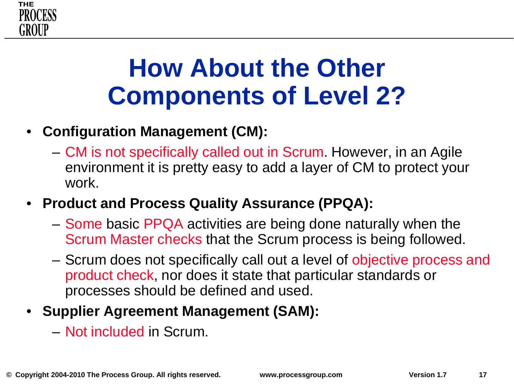

## **How About the Other Components of Level 2?**

### • **Configuration Management (CM):**

- CM is not specifically called out in Scrum. However, in an Agile environment it is pretty easy to add a layer of CM to protect your work.
- **Product and Process Quality Assurance (PPQA):** 
	- Some basic PPQA activities are being done naturally when the Scrum Master checks that the Scrum process is being followed.
	- Scrum does not specifically call out a level of objective process and product check, nor does it state that particular standards or processes should be defined and used.

### • **Supplier Agreement Management (SAM):**

– Not included in Scrum.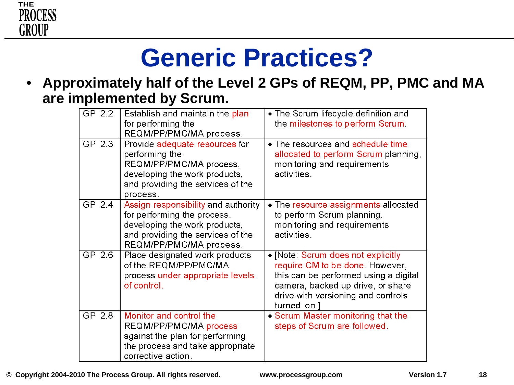

# **Generic Practices?**

• **Approximately half of the Level 2 GPs of REQM, PP, PMC and MA are implemented by Scrum.** 

| GP 2.2 | Establish and maintain the plan<br>for performing the<br>REQM/PP/PMC/MA process.                                                                                    | • The Scrum lifecycle definition and<br>the milestones to perform Scrum.                                                                                                                                 |
|--------|---------------------------------------------------------------------------------------------------------------------------------------------------------------------|----------------------------------------------------------------------------------------------------------------------------------------------------------------------------------------------------------|
| GP 2.3 | Provide adequate resources for<br>performing the<br>REQM/PP/PMC/MA process,<br>developing the work products,<br>and providing the services of the<br>process.       | • The resources and schedule time<br>allocated to perform Scrum planning,<br>monitoring and requirements<br>activities.                                                                                  |
| GP 2.4 | Assign responsibility and authority<br>for performing the process,<br>developing the work products,<br>and providing the services of the<br>REQM/PP/PMC/MA process. | • The resource assignments allocated<br>to perform Scrum planning,<br>monitoring and requirements<br>activities.                                                                                         |
| GP 2.6 | Place designated work products<br>of the REQM/PP/PMC/MA<br>process under appropriate levels<br>of control.                                                          | • [Note: Scrum does not explicitly<br>require CM to be done. However,<br>this can be performed using a digital<br>camera, backed up drive, or share<br>drive with versioning and controls<br>turned on.] |
| GP 2.8 | Monitor and control the<br>REQM/PP/PMC/MA process<br>against the plan for performing<br>the process and take appropriate<br>corrective action.                      | • Scrum Master monitoring that the<br>steps of Scrum are followed.                                                                                                                                       |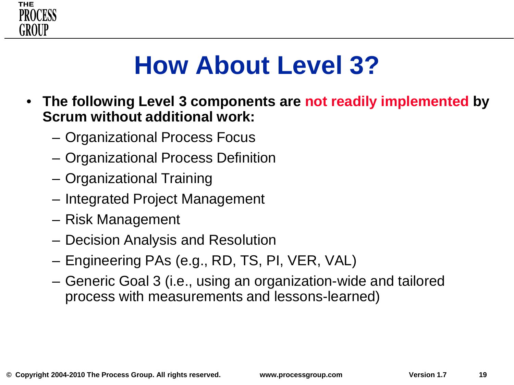

# **How About Level 3?**

- **The following Level 3 components are not readily implemented by Scrum without additional work:**
	- Organizational Process Focus
	- Organizational Process Definition
	- Organizational Training
	- Integrated Project Management
	- Risk Management
	- Decision Analysis and Resolution
	- Engineering PAs (e.g., RD, TS, PI, VER, VAL)
	- Generic Goal 3 (i.e., using an organization-wide and tailored process with measurements and lessons-learned)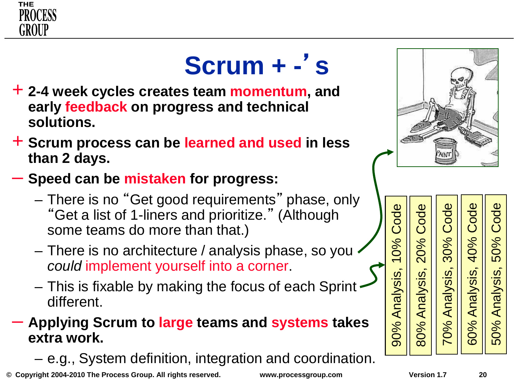

# **Scrum + -** '**s**

- + **2-4 week cycles creates team momentum, and early feedback on progress and technical solutions.**
- + **Scrum process can be learned and used in less than 2 days.**
- **Speed can be mistaken for progress:**
	- There is no "Get good requirements" phase, only "Get a list of 1-liners and prioritize." (Although some teams do more than that.)
	- There is no architecture / analysis phase, so you *could* implement yourself into a corner.
	- This is fixable by making the focus of each Sprint different.

#### – **Applying Scrum to large teams and systems takes extra work.**

– e.g., System definition, integration and coordination.

**© Copyright 2004-2010 The Process Group. All rights reserved. www.processgroup.com Version 1.7 20**



Code Code Code ode 70% Analysis, 30% Code 60% Analysis, 40% Code 50% Analysis, 50% Code80% Analysis, 20% Code Ŏ 40% 50% 0% 20% 60% Analysis, 70% Analysis, 50% Analysis, Analysis 80%

90% Analysis, 10% Code

90% Analysis,

Code

0%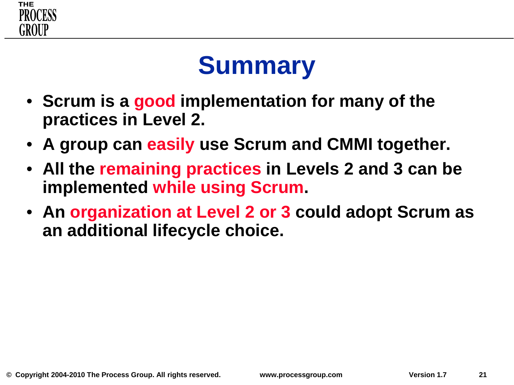

# **Summary**

- **Scrum is a good implementation for many of the practices in Level 2.**
- **A group can easily use Scrum and CMMI together.**
- **All the remaining practices in Levels 2 and 3 can be implemented while using Scrum.**
- **An organization at Level 2 or 3 could adopt Scrum as an additional lifecycle choice.**